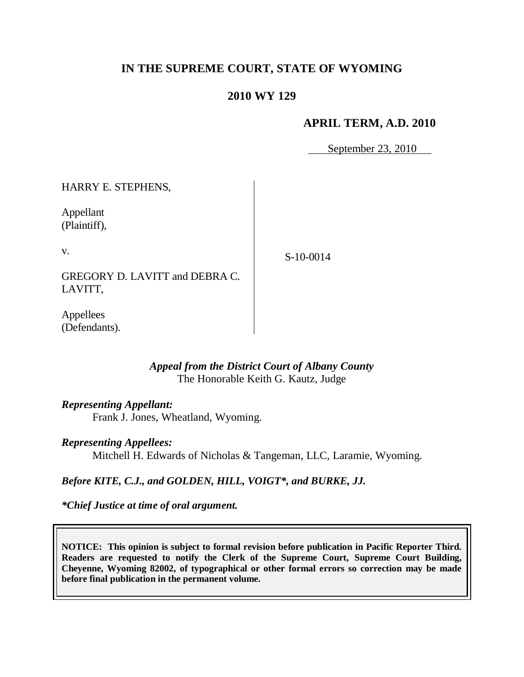# **IN THE SUPREME COURT, STATE OF WYOMING**

## **2010 WY 129**

### **APRIL TERM, A.D. 2010**

September 23, 2010

HARRY E. STEPHENS, Appellant (Plaintiff), v. GREGORY D. LAVITT and DEBRA C. LAVITT,

Appellees (Defendants).

### *Appeal from the District Court of Albany County* The Honorable Keith G. Kautz, Judge

#### *Representing Appellant:*

Frank J. Jones, Wheatland, Wyoming.

#### *Representing Appellees:*

Mitchell H. Edwards of Nicholas & Tangeman, LLC, Laramie, Wyoming.

#### *Before KITE, C.J., and GOLDEN, HILL, VOIGT\*, and BURKE, JJ.*

*\*Chief Justice at time of oral argument.*

**NOTICE: This opinion is subject to formal revision before publication in Pacific Reporter Third. Readers are requested to notify the Clerk of the Supreme Court, Supreme Court Building, Cheyenne, Wyoming 82002, of typographical or other formal errors so correction may be made before final publication in the permanent volume.**

### S-10-0014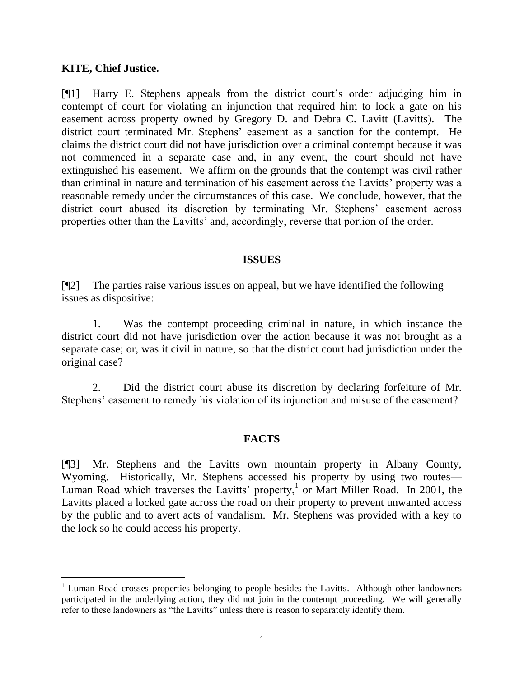#### **KITE, Chief Justice.**

 $\overline{a}$ 

[¶1] Harry E. Stephens appeals from the district court"s order adjudging him in contempt of court for violating an injunction that required him to lock a gate on his easement across property owned by Gregory D. and Debra C. Lavitt (Lavitts). The district court terminated Mr. Stephens" easement as a sanction for the contempt. He claims the district court did not have jurisdiction over a criminal contempt because it was not commenced in a separate case and, in any event, the court should not have extinguished his easement. We affirm on the grounds that the contempt was civil rather than criminal in nature and termination of his easement across the Lavitts' property was a reasonable remedy under the circumstances of this case. We conclude, however, that the district court abused its discretion by terminating Mr. Stephens' easement across properties other than the Lavitts" and, accordingly, reverse that portion of the order.

#### **ISSUES**

[¶2] The parties raise various issues on appeal, but we have identified the following issues as dispositive:

1. Was the contempt proceeding criminal in nature, in which instance the district court did not have jurisdiction over the action because it was not brought as a separate case; or, was it civil in nature, so that the district court had jurisdiction under the original case?

2. Did the district court abuse its discretion by declaring forfeiture of Mr. Stephens' easement to remedy his violation of its injunction and misuse of the easement?

# **FACTS**

[¶3] Mr. Stephens and the Lavitts own mountain property in Albany County, Wyoming. Historically, Mr. Stephens accessed his property by using two routes— Luman Road which traverses the Lavitts' property,<sup>1</sup> or Mart Miller Road. In 2001, the Lavitts placed a locked gate across the road on their property to prevent unwanted access by the public and to avert acts of vandalism. Mr. Stephens was provided with a key to the lock so he could access his property.

 $1$  Luman Road crosses properties belonging to people besides the Lavitts. Although other landowners participated in the underlying action, they did not join in the contempt proceeding. We will generally refer to these landowners as "the Lavitts" unless there is reason to separately identify them.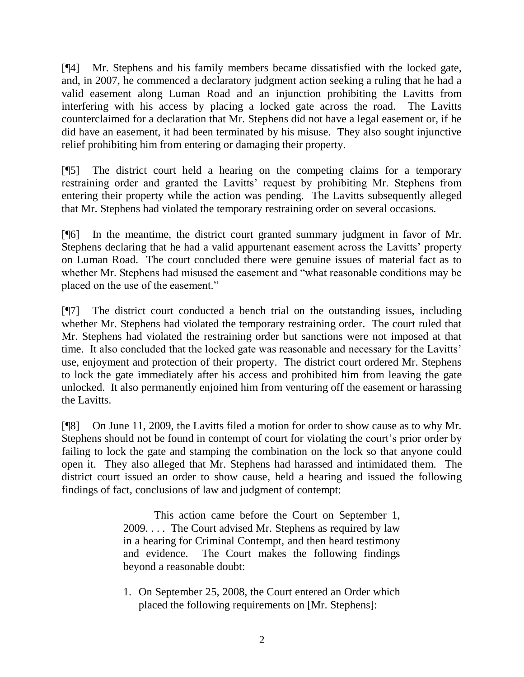[¶4] Mr. Stephens and his family members became dissatisfied with the locked gate, and, in 2007, he commenced a declaratory judgment action seeking a ruling that he had a valid easement along Luman Road and an injunction prohibiting the Lavitts from interfering with his access by placing a locked gate across the road. The Lavitts counterclaimed for a declaration that Mr. Stephens did not have a legal easement or, if he did have an easement, it had been terminated by his misuse. They also sought injunctive relief prohibiting him from entering or damaging their property.

[¶5] The district court held a hearing on the competing claims for a temporary restraining order and granted the Lavitts' request by prohibiting Mr. Stephens from entering their property while the action was pending. The Lavitts subsequently alleged that Mr. Stephens had violated the temporary restraining order on several occasions.

[¶6] In the meantime, the district court granted summary judgment in favor of Mr. Stephens declaring that he had a valid appurtenant easement across the Lavitts' property on Luman Road. The court concluded there were genuine issues of material fact as to whether Mr. Stephens had misused the easement and "what reasonable conditions may be placed on the use of the easement."

[¶7] The district court conducted a bench trial on the outstanding issues, including whether Mr. Stephens had violated the temporary restraining order. The court ruled that Mr. Stephens had violated the restraining order but sanctions were not imposed at that time. It also concluded that the locked gate was reasonable and necessary for the Lavitts' use, enjoyment and protection of their property. The district court ordered Mr. Stephens to lock the gate immediately after his access and prohibited him from leaving the gate unlocked. It also permanently enjoined him from venturing off the easement or harassing the Lavitts.

[¶8] On June 11, 2009, the Lavitts filed a motion for order to show cause as to why Mr. Stephens should not be found in contempt of court for violating the court's prior order by failing to lock the gate and stamping the combination on the lock so that anyone could open it. They also alleged that Mr. Stephens had harassed and intimidated them. The district court issued an order to show cause, held a hearing and issued the following findings of fact, conclusions of law and judgment of contempt:

> This action came before the Court on September 1, 2009. . . . The Court advised Mr. Stephens as required by law in a hearing for Criminal Contempt, and then heard testimony and evidence. The Court makes the following findings beyond a reasonable doubt:

> 1. On September 25, 2008, the Court entered an Order which placed the following requirements on [Mr. Stephens]: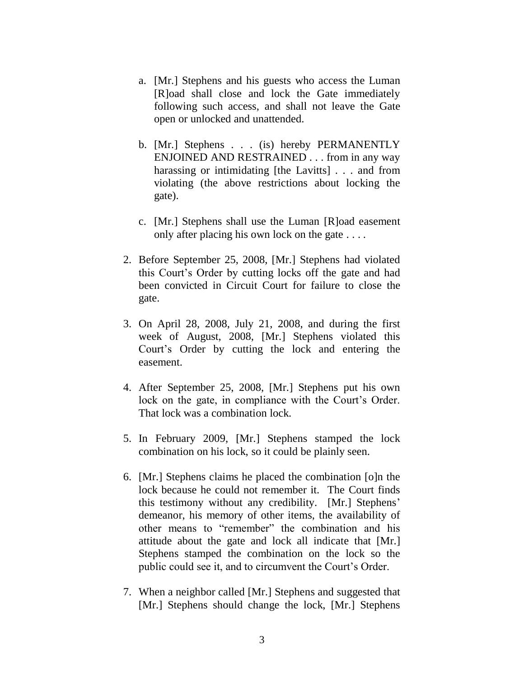- a. [Mr.] Stephens and his guests who access the Luman [R]oad shall close and lock the Gate immediately following such access, and shall not leave the Gate open or unlocked and unattended.
- b. [Mr.] Stephens . . . (is) hereby PERMANENTLY ENJOINED AND RESTRAINED . . . from in any way harassing or intimidating [the Lavitts] . . . and from violating (the above restrictions about locking the gate).
- c. [Mr.] Stephens shall use the Luman [R]oad easement only after placing his own lock on the gate . . . .
- 2. Before September 25, 2008, [Mr.] Stephens had violated this Court"s Order by cutting locks off the gate and had been convicted in Circuit Court for failure to close the gate.
- 3. On April 28, 2008, July 21, 2008, and during the first week of August, 2008, [Mr.] Stephens violated this Court"s Order by cutting the lock and entering the easement.
- 4. After September 25, 2008, [Mr.] Stephens put his own lock on the gate, in compliance with the Court's Order. That lock was a combination lock.
- 5. In February 2009, [Mr.] Stephens stamped the lock combination on his lock, so it could be plainly seen.
- 6. [Mr.] Stephens claims he placed the combination [o]n the lock because he could not remember it. The Court finds this testimony without any credibility. [Mr.] Stephens" demeanor, his memory of other items, the availability of other means to "remember" the combination and his attitude about the gate and lock all indicate that [Mr.] Stephens stamped the combination on the lock so the public could see it, and to circumvent the Court's Order.
- 7. When a neighbor called [Mr.] Stephens and suggested that [Mr.] Stephens should change the lock, [Mr.] Stephens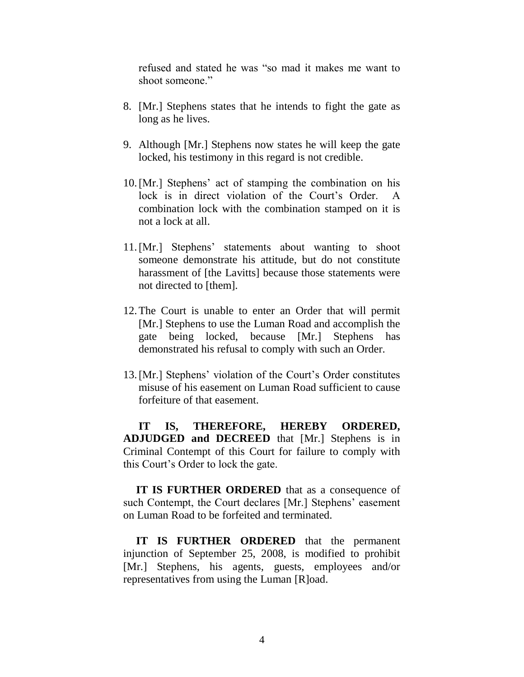refused and stated he was "so mad it makes me want to shoot someone."

- 8. [Mr.] Stephens states that he intends to fight the gate as long as he lives.
- 9. Although [Mr.] Stephens now states he will keep the gate locked, his testimony in this regard is not credible.
- 10.[Mr.] Stephens" act of stamping the combination on his lock is in direct violation of the Court's Order. A combination lock with the combination stamped on it is not a lock at all.
- 11.[Mr.] Stephens" statements about wanting to shoot someone demonstrate his attitude, but do not constitute harassment of [the Lavitts] because those statements were not directed to [them].
- 12.The Court is unable to enter an Order that will permit [Mr.] Stephens to use the Luman Road and accomplish the gate being locked, because [Mr.] Stephens has demonstrated his refusal to comply with such an Order.
- 13. [Mr.] Stephens' violation of the Court's Order constitutes misuse of his easement on Luman Road sufficient to cause forfeiture of that easement.

**IT IS, THEREFORE, HEREBY ORDERED, ADJUDGED and DECREED** that [Mr.] Stephens is in Criminal Contempt of this Court for failure to comply with this Court"s Order to lock the gate.

**IT IS FURTHER ORDERED** that as a consequence of such Contempt, the Court declares [Mr.] Stephens' easement on Luman Road to be forfeited and terminated.

**IT IS FURTHER ORDERED** that the permanent injunction of September 25, 2008, is modified to prohibit [Mr.] Stephens, his agents, guests, employees and/or representatives from using the Luman [R]oad.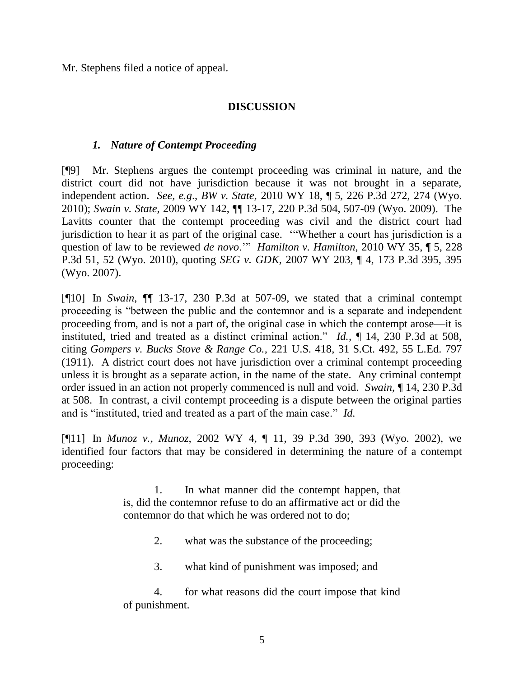Mr. Stephens filed a notice of appeal.

# **DISCUSSION**

## *1. Nature of Contempt Proceeding*

[¶9] Mr. Stephens argues the contempt proceeding was criminal in nature, and the district court did not have jurisdiction because it was not brought in a separate, independent action. *See, e.g*., *BW v. State,* 2010 WY 18, ¶ 5, 226 P.3d 272, 274 (Wyo. 2010); *Swain v. State,* 2009 WY 142, ¶¶ 13-17, 220 P.3d 504, 507-09 (Wyo. 2009). The Lavitts counter that the contempt proceeding was civil and the district court had jurisdiction to hear it as part of the original case. ""Whether a court has jurisdiction is a question of law to be reviewed *de novo*."" *Hamilton v. Hamilton,* 2010 WY 35, ¶ 5, 228 P.3d 51, 52 (Wyo. 2010), quoting *SEG v. GDK,* [2007 WY 203, ¶ 4, 173 P.3d 395, 395](http://www.westlaw.com/Find/Default.wl?rs=dfa1.0&vr=2.0&DB=4645&FindType=Y&ReferencePositionType=S&SerialNum=2014387602&ReferencePosition=395)  [\(Wyo. 2007\).](http://www.westlaw.com/Find/Default.wl?rs=dfa1.0&vr=2.0&DB=4645&FindType=Y&ReferencePositionType=S&SerialNum=2014387602&ReferencePosition=395)

[¶10] In *Swain*, ¶¶ 13-17, 230 P.3d at 507-09, we stated that a criminal contempt proceeding is "between the public and the contemnor and is a separate and independent proceeding from, and is not a part of, the original case in which the contempt arose—it is instituted, tried and treated as a distinct criminal action." *Id.,* ¶ 14, 230 P.3d at 508, citing *Gompers v. Bucks Stove & Range Co.,* 221 U.S. 418, 31 S.Ct. 492, 55 L.Ed. 797 (1911). A district court does not have jurisdiction over a criminal contempt proceeding unless it is brought as a separate action, in the name of the state. Any criminal contempt order issued in an action not properly commenced is null and void. *Swain*, ¶ 14, 230 P.3d at 508.In contrast, a civil contempt proceeding is a dispute between the original parties and is "instituted, tried and treated as a part of the main case." *Id.* 

[¶11] In *Munoz v., Munoz,* 2002 WY 4, ¶ 11, 39 P.3d 390, 393 (Wyo. 2002), we identified four factors that may be considered in determining the nature of a contempt proceeding:

> 1. In what manner did the contempt happen, that is, did the contemnor refuse to do an affirmative act or did the contemnor do that which he was ordered not to do;

- 2. what was the substance of the proceeding;
- 3. what kind of punishment was imposed; and

4. for what reasons did the court impose that kind of punishment.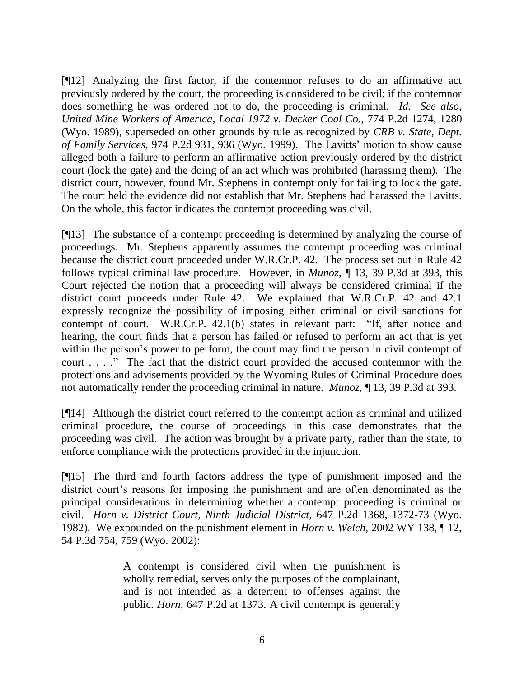[¶12] Analyzing the first factor, if the contemnor refuses to do an affirmative act previously ordered by the court, the proceeding is considered to be civil; if the contemnor does something he was ordered not to do, the proceeding is criminal. *Id. See also*, *United Mine Workers of America, Local 1972 v. Decker Coal Co.,* 774 P.2d 1274, 1280 (Wyo. 1989), superseded on other grounds by rule as recognized by *CRB v. State, Dept. of Family Services,* 974 P.2d 931, 936 (Wyo. 1999). The Lavitts" motion to show cause alleged both a failure to perform an affirmative action previously ordered by the district court (lock the gate) and the doing of an act which was prohibited (harassing them). The district court, however, found Mr. Stephens in contempt only for failing to lock the gate. The court held the evidence did not establish that Mr. Stephens had harassed the Lavitts. On the whole, this factor indicates the contempt proceeding was civil.

[¶13] The substance of a contempt proceeding is determined by analyzing the course of proceedings. Mr. Stephens apparently assumes the contempt proceeding was criminal because the district court proceeded under W.R.Cr.P. 42. The process set out in Rule 42 follows typical criminal law procedure. However, in *Munoz,* ¶ 13, 39 P.3d at 393, this Court rejected the notion that a proceeding will always be considered criminal if the district court proceeds under Rule 42. We explained that [W.R.Cr.P. 42](http://www.westlaw.com/Find/Default.wl?rs=dfa1.0&vr=2.0&DB=1006377&DocName=WYRRCRPR42&FindType=L) and [42.1](http://www.westlaw.com/Find/Default.wl?rs=dfa1.0&vr=2.0&DB=1006377&DocName=WYRRCRPR42.1&FindType=L) expressly recognize the possibility of imposing either criminal or civil sanctions for contempt of court. [W.R.Cr.P. 42.1\(b\)](http://www.westlaw.com/Find/Default.wl?rs=dfa1.0&vr=2.0&DB=1006377&DocName=WYRRCRPR42.1&FindType=L) states in relevant part: "If, after notice and hearing, the court finds that a person has failed or refused to perform an act that is yet within the person's power to perform, the court may find the person in civil contempt of court . . . ." The fact that the district court provided the accused contemnor with the protections and advisements provided by the Wyoming Rules of Criminal Procedure does not automatically render the proceeding criminal in nature. *Munoz,* ¶ 13, 39 P.3d at 393.

[¶14] Although the district court referred to the contempt action as criminal and utilized criminal procedure, the course of proceedings in this case demonstrates that the proceeding was civil. The action was brought by a private party, rather than the state, to enforce compliance with the protections provided in the injunction.

[¶15] The third and fourth factors address the type of punishment imposed and the district court's reasons for imposing the punishment and are often denominated as the principal considerations in determining whether a contempt proceeding is criminal or civil. *Horn v. District Court, Ninth Judicial District,* 647 P.2d 1368, 1372-73 (Wyo. 1982). We expounded on the punishment element in *Horn v. Welch,* 2002 WY 138, ¶ 12, 54 P.3d 754, 759 (Wyo. 2002):

> A contempt is considered civil when the punishment is wholly remedial, serves only the purposes of the complainant, and is not intended as a deterrent to offenses against the public. *[Horn,](http://www.westlaw.com/Find/Default.wl?rs=dfa1.0&vr=2.0&DB=661&FindType=Y&ReferencePositionType=S&SerialNum=1982132067&ReferencePosition=1373)* [647 P.2d at 1373.](http://www.westlaw.com/Find/Default.wl?rs=dfa1.0&vr=2.0&DB=661&FindType=Y&ReferencePositionType=S&SerialNum=1982132067&ReferencePosition=1373) A civil contempt is generally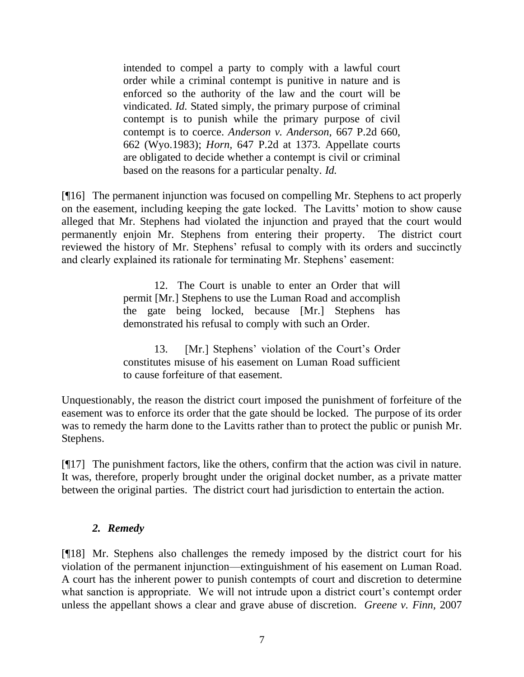intended to compel a party to comply with a lawful court order while a criminal contempt is punitive in nature and is enforced so the authority of the law and the court will be vindicated. *Id.* Stated simply, the primary purpose of criminal contempt is to punish while the primary purpose of civil contempt is to coerce. *[Anderson v. Anderson,](http://www.westlaw.com/Find/Default.wl?rs=dfa1.0&vr=2.0&DB=661&FindType=Y&ReferencePositionType=S&SerialNum=1983137371&ReferencePosition=662)* [667 P.2d 660,](http://www.westlaw.com/Find/Default.wl?rs=dfa1.0&vr=2.0&DB=661&FindType=Y&ReferencePositionType=S&SerialNum=1983137371&ReferencePosition=662)  662 (Wyo.1983); *[Horn,](http://www.westlaw.com/Find/Default.wl?rs=dfa1.0&vr=2.0&DB=661&FindType=Y&ReferencePositionType=S&SerialNum=1982132067&ReferencePosition=1373)* [647 P.2d at 1373.](http://www.westlaw.com/Find/Default.wl?rs=dfa1.0&vr=2.0&DB=661&FindType=Y&ReferencePositionType=S&SerialNum=1982132067&ReferencePosition=1373) Appellate courts are obligated to decide whether a contempt is civil or criminal based on the reasons for a particular penalty. *Id.*

[¶16] The permanent injunction was focused on compelling Mr. Stephens to act properly on the easement, including keeping the gate locked. The Lavitts' motion to show cause alleged that Mr. Stephens had violated the injunction and prayed that the court would permanently enjoin Mr. Stephens from entering their property. The district court reviewed the history of Mr. Stephens' refusal to comply with its orders and succinctly and clearly explained its rationale for terminating Mr. Stephens' easement:

> 12. The Court is unable to enter an Order that will permit [Mr.] Stephens to use the Luman Road and accomplish the gate being locked, because [Mr.] Stephens has demonstrated his refusal to comply with such an Order.

> 13. [Mr.] Stephens' violation of the Court's Order constitutes misuse of his easement on Luman Road sufficient to cause forfeiture of that easement.

Unquestionably, the reason the district court imposed the punishment of forfeiture of the easement was to enforce its order that the gate should be locked. The purpose of its order was to remedy the harm done to the Lavitts rather than to protect the public or punish Mr. Stephens.

[¶17] The punishment factors, like the others, confirm that the action was civil in nature. It was, therefore, properly brought under the original docket number, as a private matter between the original parties. The district court had jurisdiction to entertain the action.

# *2. Remedy*

[¶18] Mr. Stephens also challenges the remedy imposed by the district court for his violation of the permanent injunction—extinguishment of his easement on Luman Road. A court has the inherent power to punish contempts of court and discretion to determine what sanction is appropriate. We will not intrude upon a district court's contempt order unless the appellant shows a clear and grave abuse of discretion. *Greene v. Finn,* 2007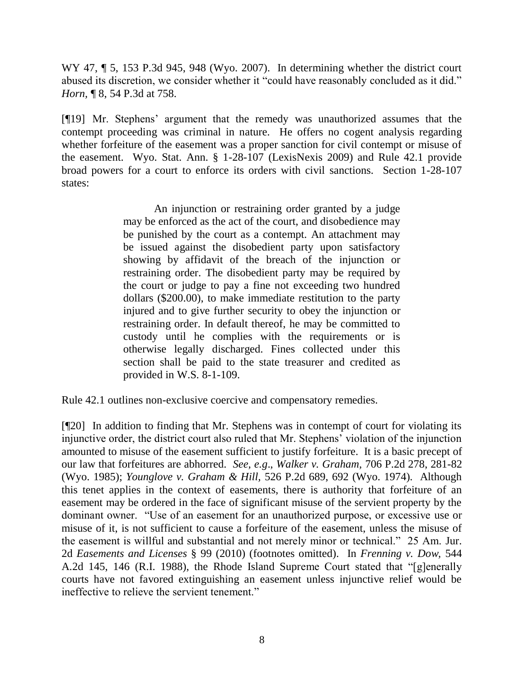WY 47,  $\parallel$  5, 153 P.3d 945, 948 (Wyo. 2007). In determining whether the district court abused its discretion, we consider whether it "could have reasonably concluded as it did." *Horn,* ¶ 8, 54 P.3d at 758.

[¶19] Mr. Stephens" argument that the remedy was unauthorized assumes that the contempt proceeding was criminal in nature. He offers no cogent analysis regarding whether forfeiture of the easement was a proper sanction for civil contempt or misuse of the easement. Wyo. Stat. Ann. § 1-28-107 (LexisNexis 2009) and Rule 42.1 provide broad powers for a court to enforce its orders with civil sanctions. Section 1-28-107 states:

> An injunction or restraining order granted by a judge may be enforced as the act of the court, and disobedience may be punished by the court as a contempt. An attachment may be issued against the disobedient party upon satisfactory showing by affidavit of the breach of the injunction or restraining order. The disobedient party may be required by the court or judge to pay a fine not exceeding two hundred dollars (\$200.00), to make immediate restitution to the party injured and to give further security to obey the injunction or restraining order. In default thereof, he may be committed to custody until he complies with the requirements or is otherwise legally discharged. Fines collected under this section shall be paid to the state treasurer and credited as provided in [W.S. 8-1-109.](http://www.westlaw.com/Find/Default.wl?rs=dfa1.0&vr=2.0&DB=1000377&DocName=WYSTS8-1-109&FindType=Y)

Rule 42.1 outlines non-exclusive coercive and compensatory remedies.

[¶20] In addition to finding that Mr. Stephens was in contempt of court for violating its injunctive order, the district court also ruled that Mr. Stephens" violation of the injunction amounted to misuse of the easement sufficient to justify forfeiture. It is a basic precept of our law that forfeitures are abhorred. *See, e.g*., *Walker v. Graham,* 706 P.2d 278, 281-82 (Wyo. 1985); *Younglove v. Graham & Hill,* 526 P.2d 689, 692 (Wyo. 1974). Although this tenet applies in the context of easements, there is authority that forfeiture of an easement may be ordered in the face of significant misuse of the servient property by the dominant owner. "Use of an easement for an unauthorized purpose, or excessive use or misuse of it, is not sufficient to cause a forfeiture of the easement, unless the misuse of the easement is willful and substantial and not merely minor or technical." 25 Am. Jur. 2d *Easements and Licenses* § 99 (2010) (footnotes omitted). In *Frenning v. Dow,* 544 A.2d 145, 146 (R.I. 1988), the Rhode Island Supreme Court stated that "[g]enerally courts have not favored extinguishing an easement unless injunctive relief would be ineffective to relieve the servient tenement."